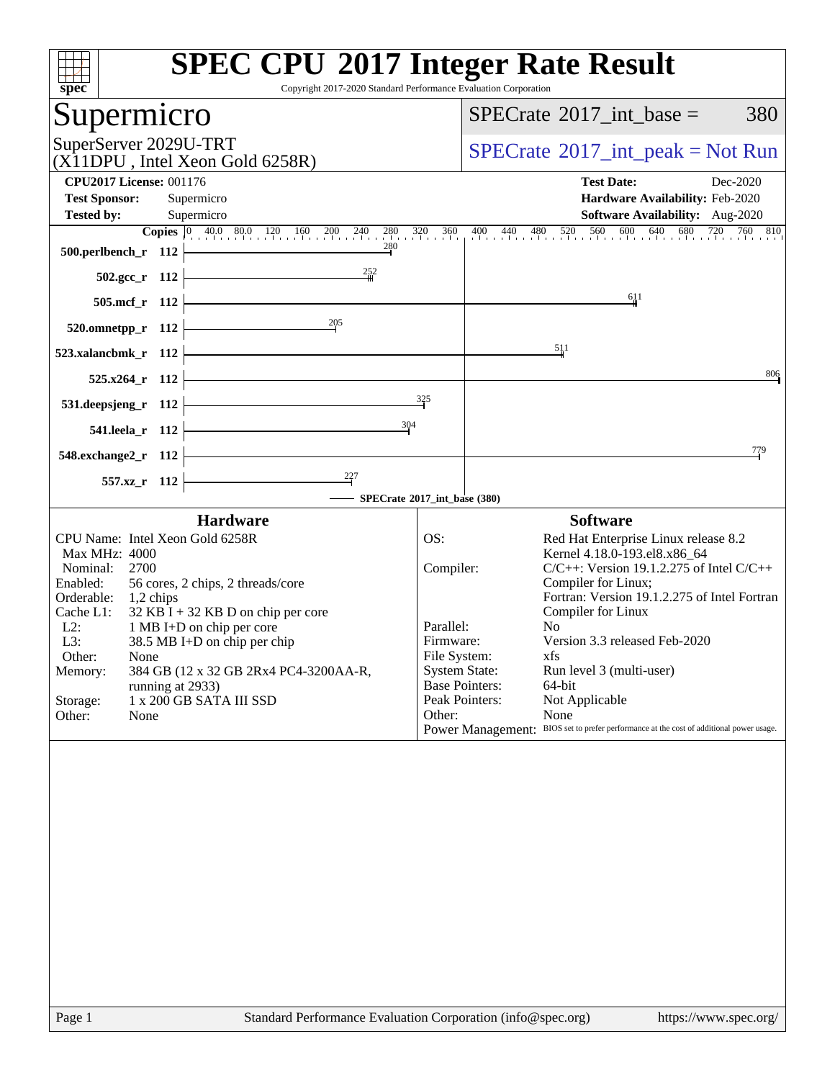| <b>SPEC CPU®2017 Integer Rate Result</b><br>spec<br>Copyright 2017-2020 Standard Performance Evaluation Corporation                                                                                                                                                                                                                                                                                                                    |                                                                                              |                                                                                                                                                                                                                                                                                                                                                                                                                                                                                    |
|----------------------------------------------------------------------------------------------------------------------------------------------------------------------------------------------------------------------------------------------------------------------------------------------------------------------------------------------------------------------------------------------------------------------------------------|----------------------------------------------------------------------------------------------|------------------------------------------------------------------------------------------------------------------------------------------------------------------------------------------------------------------------------------------------------------------------------------------------------------------------------------------------------------------------------------------------------------------------------------------------------------------------------------|
| Supermicro                                                                                                                                                                                                                                                                                                                                                                                                                             |                                                                                              | $SPECrate^{\circledast}2017\_int\_base =$<br>380                                                                                                                                                                                                                                                                                                                                                                                                                                   |
| SuperServer 2029U-TRT<br>(X11DPU, Intel Xeon Gold 6258R)                                                                                                                                                                                                                                                                                                                                                                               |                                                                                              | $SPECrate^{\circledast}2017\_int\_peak = Not Run$                                                                                                                                                                                                                                                                                                                                                                                                                                  |
| <b>CPU2017 License: 001176</b><br><b>Test Sponsor:</b><br>Supermicro                                                                                                                                                                                                                                                                                                                                                                   |                                                                                              | <b>Test Date:</b><br>Dec-2020<br>Hardware Availability: Feb-2020                                                                                                                                                                                                                                                                                                                                                                                                                   |
| <b>Tested by:</b><br>Supermicro                                                                                                                                                                                                                                                                                                                                                                                                        |                                                                                              | <b>Software Availability:</b> Aug-2020                                                                                                                                                                                                                                                                                                                                                                                                                                             |
| <b>Copies</b> 0 40.0 80.0 120 160 200 240<br>280<br>500.perlbench_r 112                                                                                                                                                                                                                                                                                                                                                                | $280$ $320$ $360$                                                                            | 400 440 480 520 560 600 640 680 720<br>760 810                                                                                                                                                                                                                                                                                                                                                                                                                                     |
| 252<br>$502.\text{gcc}_r$ 112                                                                                                                                                                                                                                                                                                                                                                                                          |                                                                                              |                                                                                                                                                                                                                                                                                                                                                                                                                                                                                    |
| 505.mcf_r 112                                                                                                                                                                                                                                                                                                                                                                                                                          |                                                                                              | 611                                                                                                                                                                                                                                                                                                                                                                                                                                                                                |
| 205<br>520.omnetpp_r 112                                                                                                                                                                                                                                                                                                                                                                                                               |                                                                                              |                                                                                                                                                                                                                                                                                                                                                                                                                                                                                    |
| 523.xalancbmk_r 112                                                                                                                                                                                                                                                                                                                                                                                                                    |                                                                                              | 511                                                                                                                                                                                                                                                                                                                                                                                                                                                                                |
| 525.x264_r 112                                                                                                                                                                                                                                                                                                                                                                                                                         |                                                                                              | 806                                                                                                                                                                                                                                                                                                                                                                                                                                                                                |
| 531.deepsjeng_r 112                                                                                                                                                                                                                                                                                                                                                                                                                    | 325                                                                                          |                                                                                                                                                                                                                                                                                                                                                                                                                                                                                    |
| 304<br>541.leela_r 112                                                                                                                                                                                                                                                                                                                                                                                                                 |                                                                                              |                                                                                                                                                                                                                                                                                                                                                                                                                                                                                    |
| 548.exchange2_r 112                                                                                                                                                                                                                                                                                                                                                                                                                    |                                                                                              | 779                                                                                                                                                                                                                                                                                                                                                                                                                                                                                |
| 227<br>557.xz_r 112<br>SPECrate®2017_int_base (380)                                                                                                                                                                                                                                                                                                                                                                                    |                                                                                              |                                                                                                                                                                                                                                                                                                                                                                                                                                                                                    |
| <b>Hardware</b>                                                                                                                                                                                                                                                                                                                                                                                                                        |                                                                                              | <b>Software</b>                                                                                                                                                                                                                                                                                                                                                                                                                                                                    |
| CPU Name: Intel Xeon Gold 6258R<br>Max MHz: 4000<br>Nominal:<br>2700<br>Enabled:<br>56 cores, 2 chips, 2 threads/core<br>Orderable:<br>1,2 chips<br>Cache L1:<br>$32$ KB I + 32 KB D on chip per core<br>$L2$ :<br>1 MB I+D on chip per core<br>L3:<br>38.5 MB I+D on chip per chip<br>Other:<br>None<br>384 GB (12 x 32 GB 2Rx4 PC4-3200AA-R,<br>Memory:<br>running at 2933)<br>1 x 200 GB SATA III SSD<br>Storage:<br>Other:<br>None | OS:<br>Compiler:<br>Parallel:<br>Firmware:<br>File System:<br><b>System State:</b><br>Other: | Red Hat Enterprise Linux release 8.2<br>Kernel 4.18.0-193.el8.x86_64<br>$C/C++$ : Version 19.1.2.275 of Intel $C/C++$<br>Compiler for Linux;<br>Fortran: Version 19.1.2.275 of Intel Fortran<br>Compiler for Linux<br>N <sub>0</sub><br>Version 3.3 released Feb-2020<br>xfs<br>Run level 3 (multi-user)<br><b>Base Pointers:</b><br>64-bit<br>Peak Pointers:<br>Not Applicable<br>None<br>Power Management: BIOS set to prefer performance at the cost of additional power usage. |
|                                                                                                                                                                                                                                                                                                                                                                                                                                        |                                                                                              |                                                                                                                                                                                                                                                                                                                                                                                                                                                                                    |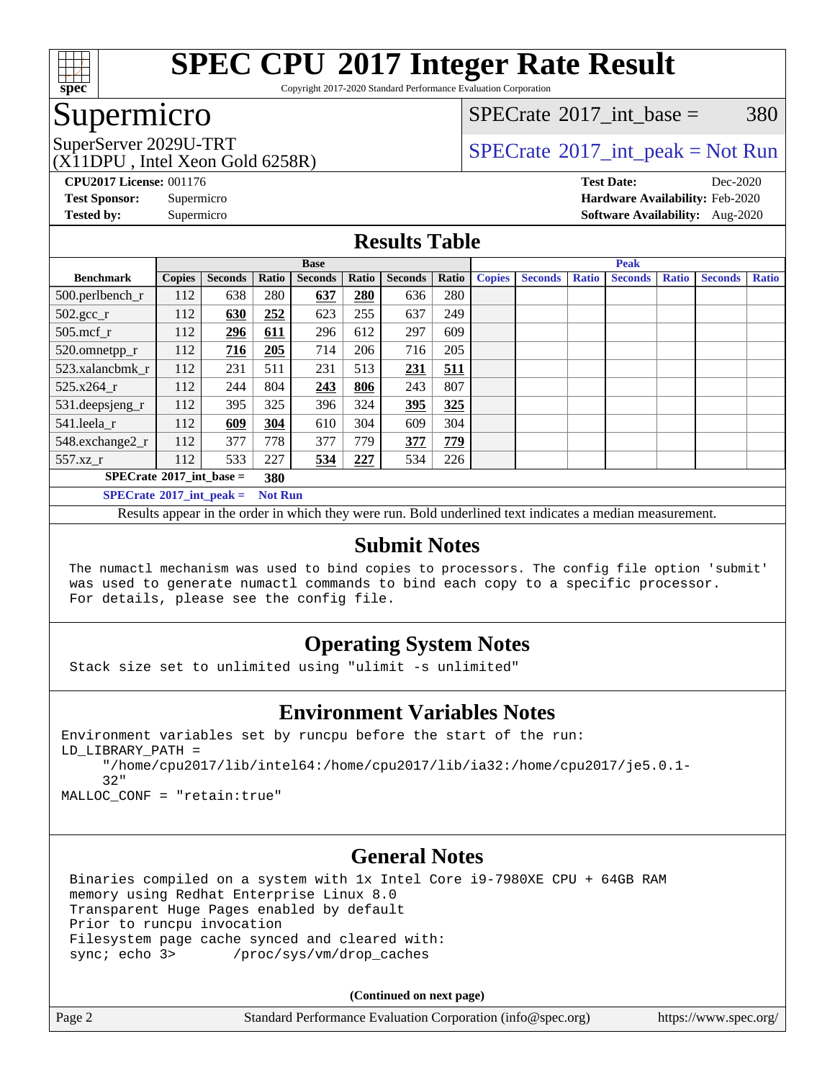

Copyright 2017-2020 Standard Performance Evaluation Corporation

### Supermicro

[SPECrate](http://www.spec.org/auto/cpu2017/Docs/result-fields.html#SPECrate2017intbase)<sup>®</sup>2017 int base =  $380$ 

(X11DPU , Intel Xeon Gold 6258R)

SuperServer 2029U-TRT  $SPECrate^{\circ}2017$  $SPECrate^{\circ}2017$ \_int\_peak = Not Run

**[CPU2017 License:](http://www.spec.org/auto/cpu2017/Docs/result-fields.html#CPU2017License)** 001176 **[Test Date:](http://www.spec.org/auto/cpu2017/Docs/result-fields.html#TestDate)** Dec-2020 **[Test Sponsor:](http://www.spec.org/auto/cpu2017/Docs/result-fields.html#TestSponsor)** Supermicro **[Hardware Availability:](http://www.spec.org/auto/cpu2017/Docs/result-fields.html#HardwareAvailability)** Feb-2020 **[Tested by:](http://www.spec.org/auto/cpu2017/Docs/result-fields.html#Testedby)** Supermicro **[Software Availability:](http://www.spec.org/auto/cpu2017/Docs/result-fields.html#SoftwareAvailability)** Aug-2020

#### **[Results Table](http://www.spec.org/auto/cpu2017/Docs/result-fields.html#ResultsTable)**

|                                   | <b>Base</b>   |                |                |                |       | <b>Peak</b>    |       |               |                |              |                |              |                |              |
|-----------------------------------|---------------|----------------|----------------|----------------|-------|----------------|-------|---------------|----------------|--------------|----------------|--------------|----------------|--------------|
| <b>Benchmark</b>                  | <b>Copies</b> | <b>Seconds</b> | Ratio          | <b>Seconds</b> | Ratio | <b>Seconds</b> | Ratio | <b>Copies</b> | <b>Seconds</b> | <b>Ratio</b> | <b>Seconds</b> | <b>Ratio</b> | <b>Seconds</b> | <b>Ratio</b> |
| 500.perlbench_r                   | 112           | 638            | 280            | 637            | 280   | 636            | 280   |               |                |              |                |              |                |              |
| $502.\text{gcc}_r$                | 112           | 630            | 252            | 623            | 255   | 637            | 249   |               |                |              |                |              |                |              |
| $505$ .mcf r                      | 112           | 296            | 611            | 296            | 612   | 297            | 609   |               |                |              |                |              |                |              |
| 520.omnetpp_r                     | 112           | 716            | 205            | 714            | 206   | 716            | 205   |               |                |              |                |              |                |              |
| 523.xalancbmk r                   | 112           | 231            | 511            | 231            | 513   | 231            | 511   |               |                |              |                |              |                |              |
| 525.x264 r                        | 112           | 244            | 804            | 243            | 806   | 243            | 807   |               |                |              |                |              |                |              |
| 531.deepsjeng_r                   | 112           | 395            | 325            | 396            | 324   | 395            | 325   |               |                |              |                |              |                |              |
| 541.leela r                       | 112           | 609            | 304            | 610            | 304   | 609            | 304   |               |                |              |                |              |                |              |
| 548.exchange2_r                   | 112           | 377            | 778            | 377            | 779   | 377            | 779   |               |                |              |                |              |                |              |
| 557.xz r                          | 112           | 533            | 227            | 534            | 227   | 534            | 226   |               |                |              |                |              |                |              |
| $SPECrate^{\circ}2017$ int base = |               |                | 380            |                |       |                |       |               |                |              |                |              |                |              |
| $SPECrate^{\circ}2017$ int peak = |               |                | <b>Not Run</b> |                |       |                |       |               |                |              |                |              |                |              |

Results appear in the [order in which they were run](http://www.spec.org/auto/cpu2017/Docs/result-fields.html#RunOrder). Bold underlined text [indicates a median measurement](http://www.spec.org/auto/cpu2017/Docs/result-fields.html#Median).

#### **[Submit Notes](http://www.spec.org/auto/cpu2017/Docs/result-fields.html#SubmitNotes)**

 The numactl mechanism was used to bind copies to processors. The config file option 'submit' was used to generate numactl commands to bind each copy to a specific processor. For details, please see the config file.

### **[Operating System Notes](http://www.spec.org/auto/cpu2017/Docs/result-fields.html#OperatingSystemNotes)**

Stack size set to unlimited using "ulimit -s unlimited"

#### **[Environment Variables Notes](http://www.spec.org/auto/cpu2017/Docs/result-fields.html#EnvironmentVariablesNotes)**

```
Environment variables set by runcpu before the start of the run:
LD_LIBRARY_PATH =
      "/home/cpu2017/lib/intel64:/home/cpu2017/lib/ia32:/home/cpu2017/je5.0.1-
      32"
```
MALLOC\_CONF = "retain:true"

#### **[General Notes](http://www.spec.org/auto/cpu2017/Docs/result-fields.html#GeneralNotes)**

 Binaries compiled on a system with 1x Intel Core i9-7980XE CPU + 64GB RAM memory using Redhat Enterprise Linux 8.0 Transparent Huge Pages enabled by default Prior to runcpu invocation Filesystem page cache synced and cleared with: sync; echo 3> /proc/sys/vm/drop\_caches

**(Continued on next page)**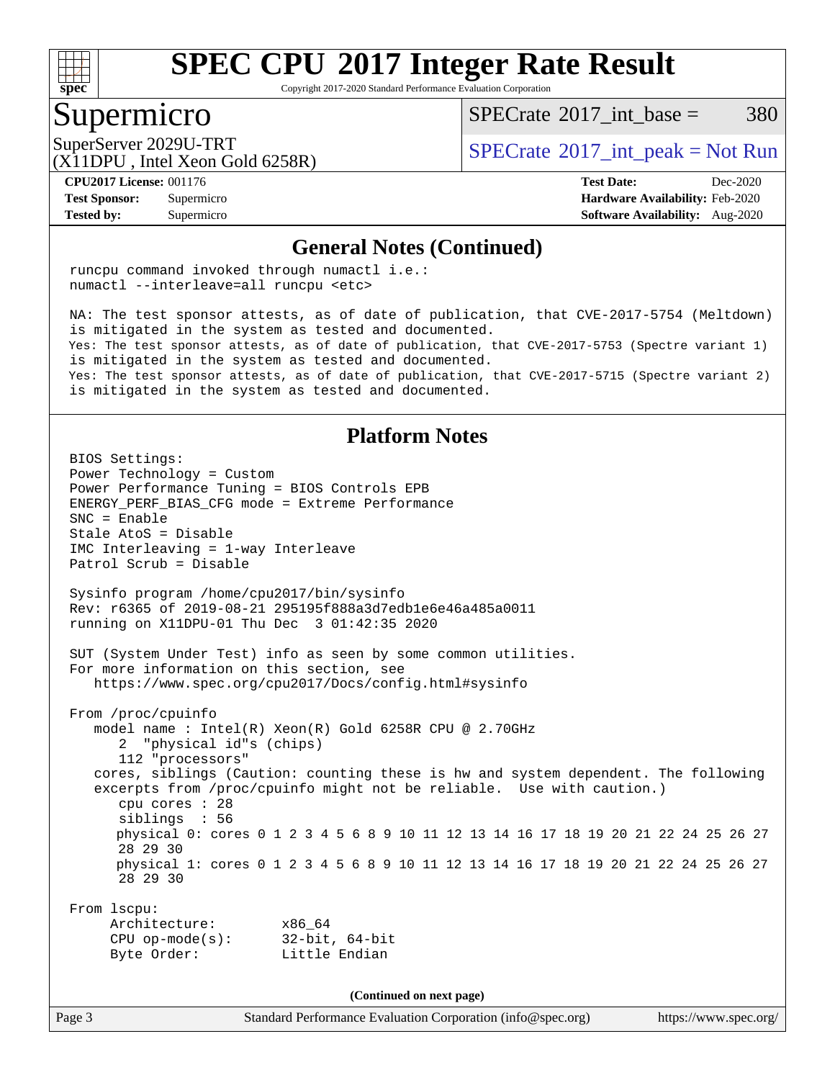

Copyright 2017-2020 Standard Performance Evaluation Corporation

### Supermicro

[SPECrate](http://www.spec.org/auto/cpu2017/Docs/result-fields.html#SPECrate2017intbase)<sup>®</sup>2017 int base =  $380$ 

(X11DPU , Intel Xeon Gold 6258R)

SuperServer 2029U-TRT  $SPECrate^{\circ}2017$  $SPECrate^{\circ}2017$ \_int\_peak = Not Run

**[Tested by:](http://www.spec.org/auto/cpu2017/Docs/result-fields.html#Testedby)** Supermicro **[Software Availability:](http://www.spec.org/auto/cpu2017/Docs/result-fields.html#SoftwareAvailability)** Aug-2020

**[CPU2017 License:](http://www.spec.org/auto/cpu2017/Docs/result-fields.html#CPU2017License)** 001176 **[Test Date:](http://www.spec.org/auto/cpu2017/Docs/result-fields.html#TestDate)** Dec-2020 **[Test Sponsor:](http://www.spec.org/auto/cpu2017/Docs/result-fields.html#TestSponsor)** Supermicro **[Hardware Availability:](http://www.spec.org/auto/cpu2017/Docs/result-fields.html#HardwareAvailability)** Feb-2020

#### **[General Notes \(Continued\)](http://www.spec.org/auto/cpu2017/Docs/result-fields.html#GeneralNotes)**

 runcpu command invoked through numactl i.e.: numactl --interleave=all runcpu <etc>

 NA: The test sponsor attests, as of date of publication, that CVE-2017-5754 (Meltdown) is mitigated in the system as tested and documented. Yes: The test sponsor attests, as of date of publication, that CVE-2017-5753 (Spectre variant 1) is mitigated in the system as tested and documented. Yes: The test sponsor attests, as of date of publication, that CVE-2017-5715 (Spectre variant 2) is mitigated in the system as tested and documented.

#### **[Platform Notes](http://www.spec.org/auto/cpu2017/Docs/result-fields.html#PlatformNotes)**

 BIOS Settings: Power Technology = Custom Power Performance Tuning = BIOS Controls EPB ENERGY\_PERF\_BIAS\_CFG mode = Extreme Performance SNC = Enable Stale AtoS = Disable IMC Interleaving = 1-way Interleave Patrol Scrub = Disable Sysinfo program /home/cpu2017/bin/sysinfo Rev: r6365 of 2019-08-21 295195f888a3d7edb1e6e46a485a0011 running on X11DPU-01 Thu Dec 3 01:42:35 2020 SUT (System Under Test) info as seen by some common utilities. For more information on this section, see <https://www.spec.org/cpu2017/Docs/config.html#sysinfo> From /proc/cpuinfo model name : Intel(R) Xeon(R) Gold 6258R CPU @ 2.70GHz 2 "physical id"s (chips) 112 "processors" cores, siblings (Caution: counting these is hw and system dependent. The following excerpts from /proc/cpuinfo might not be reliable. Use with caution.) cpu cores : 28 siblings : 56 physical 0: cores 0 1 2 3 4 5 6 8 9 10 11 12 13 14 16 17 18 19 20 21 22 24 25 26 27 28 29 30 physical 1: cores 0 1 2 3 4 5 6 8 9 10 11 12 13 14 16 17 18 19 20 21 22 24 25 26 27 28 29 30 From lscpu: Architecture: x86\_64 CPU op-mode(s): 32-bit, 64-bit Byte Order: Little Endian **(Continued on next page)**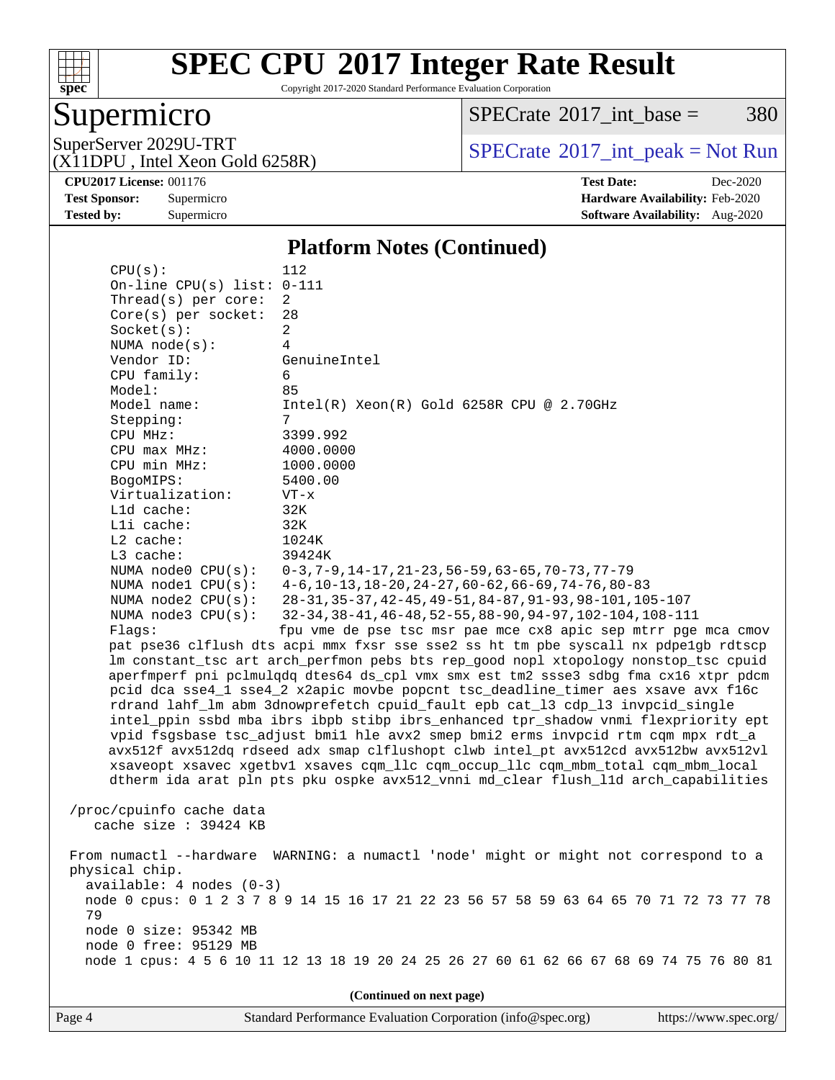

Copyright 2017-2020 Standard Performance Evaluation Corporation

### Supermicro

 $SPECTate@2017_int\_base = 380$ 

(X11DPU , Intel Xeon Gold 6258R)

SuperServer 2029U-TRT <br>(X11DPU Intel Xeon Gold 6258R) [SPECrate](http://www.spec.org/auto/cpu2017/Docs/result-fields.html#SPECrate2017intpeak)®[2017\\_int\\_peak = N](http://www.spec.org/auto/cpu2017/Docs/result-fields.html#SPECrate2017intpeak)ot Run

**[CPU2017 License:](http://www.spec.org/auto/cpu2017/Docs/result-fields.html#CPU2017License)** 001176 **[Test Date:](http://www.spec.org/auto/cpu2017/Docs/result-fields.html#TestDate)** Dec-2020 **[Test Sponsor:](http://www.spec.org/auto/cpu2017/Docs/result-fields.html#TestSponsor)** Supermicro **[Hardware Availability:](http://www.spec.org/auto/cpu2017/Docs/result-fields.html#HardwareAvailability)** Feb-2020 **[Tested by:](http://www.spec.org/auto/cpu2017/Docs/result-fields.html#Testedby)** Supermicro **Supermicro [Software Availability:](http://www.spec.org/auto/cpu2017/Docs/result-fields.html#SoftwareAvailability)** Aug-2020

#### **[Platform Notes \(Continued\)](http://www.spec.org/auto/cpu2017/Docs/result-fields.html#PlatformNotes)**

| NUMA $node(s):$<br>Vendor ID: | GenuineIntel                                                                                                                                                      |
|-------------------------------|-------------------------------------------------------------------------------------------------------------------------------------------------------------------|
| CPU family:                   | 6                                                                                                                                                                 |
| Model:                        | 85                                                                                                                                                                |
| Model name:                   | $Intel(R) Xeon(R) Gold 6258R CPU @ 2.70GHz$                                                                                                                       |
| Stepping:                     | 7                                                                                                                                                                 |
| CPU MHz:                      | 3399.992                                                                                                                                                          |
| CPU max MHz:                  | 4000.0000                                                                                                                                                         |
| CPU min MHz:                  | 1000.0000                                                                                                                                                         |
| BogoMIPS:                     | 5400.00                                                                                                                                                           |
| Virtualization:               | $VT - x$                                                                                                                                                          |
| L1d cache:                    | 32K                                                                                                                                                               |
| Lli cache:<br>$L2$ cache:     | 32K<br>1024K                                                                                                                                                      |
| L3 cache:                     | 39424K                                                                                                                                                            |
| NUMA node0 CPU(s):            | $0-3, 7-9, 14-17, 21-23, 56-59, 63-65, 70-73, 77-79$                                                                                                              |
| NUMA nodel $CPU(s):$          | $4-6$ , 10-13, 18-20, 24-27, 60-62, 66-69, 74-76, 80-83                                                                                                           |
| NUMA $node2$ $CPU(s)$ :       | 28-31, 35-37, 42-45, 49-51, 84-87, 91-93, 98-101, 105-107                                                                                                         |
| NUMA node3 CPU(s):            | 32-34, 38-41, 46-48, 52-55, 88-90, 94-97, 102-104, 108-111                                                                                                        |
| Flaqs:                        | fpu vme de pse tsc msr pae mce cx8 apic sep mtrr pge mca cmov                                                                                                     |
|                               | pat pse36 clflush dts acpi mmx fxsr sse sse2 ss ht tm pbe syscall nx pdpelgb rdtscp                                                                               |
|                               | lm constant_tsc art arch_perfmon pebs bts rep_good nopl xtopology nonstop_tsc cpuid                                                                               |
|                               | aperfmperf pni pclmulqdq dtes64 ds_cpl vmx smx est tm2 ssse3 sdbg fma cx16 xtpr pdcm                                                                              |
|                               | pcid dca sse4_1 sse4_2 x2apic movbe popcnt tsc_deadline_timer aes xsave avx f16c<br>rdrand lahf_lm abm 3dnowprefetch cpuid_fault epb cat_13 cdp_13 invpcid_single |
|                               | intel_ppin ssbd mba ibrs ibpb stibp ibrs_enhanced tpr_shadow vnmi flexpriority ept                                                                                |
|                               | vpid fsgsbase tsc_adjust bmil hle avx2 smep bmi2 erms invpcid rtm cqm mpx rdt_a                                                                                   |
|                               | avx512f avx512dq rdseed adx smap clflushopt clwb intel_pt avx512cd avx512bw avx512vl                                                                              |
|                               | xsaveopt xsavec xgetbvl xsaves cqm_llc cqm_occup_llc cqm_mbm_total cqm_mbm_local                                                                                  |
|                               | dtherm ida arat pln pts pku ospke avx512_vnni md_clear flush_lld arch_capabilities                                                                                |
|                               |                                                                                                                                                                   |
| /proc/cpuinfo cache data      |                                                                                                                                                                   |
| cache size $: 39424$ KB       |                                                                                                                                                                   |
| From numactl --hardware       | WARNING: a numactl 'node' might or might not correspond to a                                                                                                      |
| physical chip.                |                                                                                                                                                                   |
| $available: 4 nodes (0-3)$    |                                                                                                                                                                   |
|                               | node 0 cpus: 0 1 2 3 7 8 9 14 15 16 17 21 22 23 56 57 58 59 63 64 65 70 71 72 73 77 78                                                                            |
| 79                            |                                                                                                                                                                   |
| node 0 size: 95342 MB         |                                                                                                                                                                   |
| node 0 free: 95129 MB         |                                                                                                                                                                   |
|                               | node 1 cpus: 4 5 6 10 11 12 13 18 19 20 24 25 26 27 60 61 62 66 67 68 69 74 75 76 80 81                                                                           |
|                               |                                                                                                                                                                   |
|                               | (Continued on next page)                                                                                                                                          |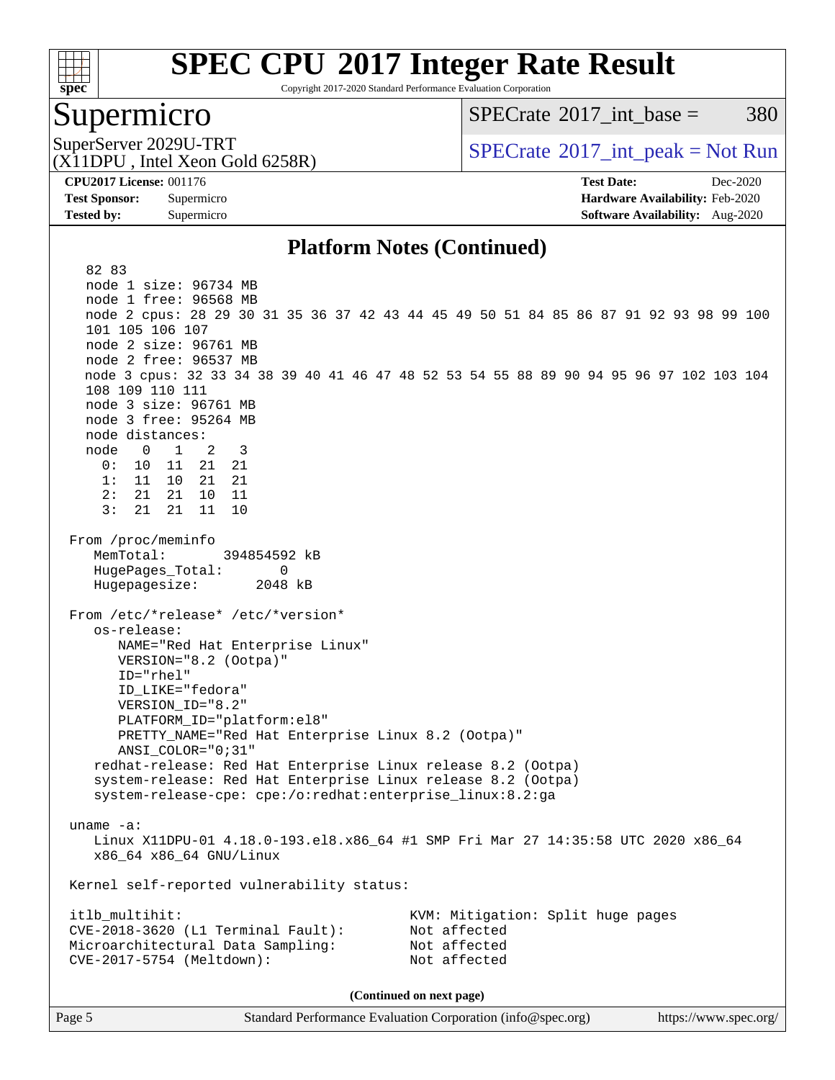

Copyright 2017-2020 Standard Performance Evaluation Corporation

### Supermicro

 $SPECTate^{\circ}2017$  int base = 380

(X11DPU , Intel Xeon Gold 6258R)

SuperServer 2029U-TRT  $SPECrate^{\circ}2017$  $SPECrate^{\circ}2017$ \_int\_peak = Not Run

**[CPU2017 License:](http://www.spec.org/auto/cpu2017/Docs/result-fields.html#CPU2017License)** 001176 **[Test Date:](http://www.spec.org/auto/cpu2017/Docs/result-fields.html#TestDate)** Dec-2020 **[Test Sponsor:](http://www.spec.org/auto/cpu2017/Docs/result-fields.html#TestSponsor)** Supermicro **[Hardware Availability:](http://www.spec.org/auto/cpu2017/Docs/result-fields.html#HardwareAvailability)** Feb-2020 **[Tested by:](http://www.spec.org/auto/cpu2017/Docs/result-fields.html#Testedby)** Supermicro **[Software Availability:](http://www.spec.org/auto/cpu2017/Docs/result-fields.html#SoftwareAvailability)** Aug-2020

#### **[Platform Notes \(Continued\)](http://www.spec.org/auto/cpu2017/Docs/result-fields.html#PlatformNotes)**

 82 83 node 1 size: 96734 MB node 1 free: 96568 MB node 2 cpus: 28 29 30 31 35 36 37 42 43 44 45 49 50 51 84 85 86 87 91 92 93 98 99 100 101 105 106 107 node 2 size: 96761 MB node 2 free: 96537 MB node 3 cpus: 32 33 34 38 39 40 41 46 47 48 52 53 54 55 88 89 90 94 95 96 97 102 103 104 108 109 110 111 node 3 size: 96761 MB node 3 free: 95264 MB node distances: node 0 1 2 3 0: 10 11 21 21 1: 11 10 21 21 2: 21 21 10 11  $3: 21 21 11$  From /proc/meminfo MemTotal: 394854592 kB HugePages\_Total: 0 Hugepagesize: 2048 kB From /etc/\*release\* /etc/\*version\* os-release: NAME="Red Hat Enterprise Linux" VERSION="8.2 (Ootpa)" ID="rhel" ID\_LIKE="fedora" VERSION\_ID="8.2" PLATFORM\_ID="platform:el8" PRETTY\_NAME="Red Hat Enterprise Linux 8.2 (Ootpa)" ANSI\_COLOR="0;31" redhat-release: Red Hat Enterprise Linux release 8.2 (Ootpa) system-release: Red Hat Enterprise Linux release 8.2 (Ootpa) system-release-cpe: cpe:/o:redhat:enterprise\_linux:8.2:ga uname -a: Linux X11DPU-01 4.18.0-193.el8.x86\_64 #1 SMP Fri Mar 27 14:35:58 UTC 2020 x86\_64 x86\_64 x86\_64 GNU/Linux Kernel self-reported vulnerability status: itlb\_multihit: KVM: Mitigation: Split huge pages CVE-2018-3620 (L1 Terminal Fault): Not affected Microarchitectural Data Sampling: Not affected CVE-2017-5754 (Meltdown): Not affected **(Continued on next page)**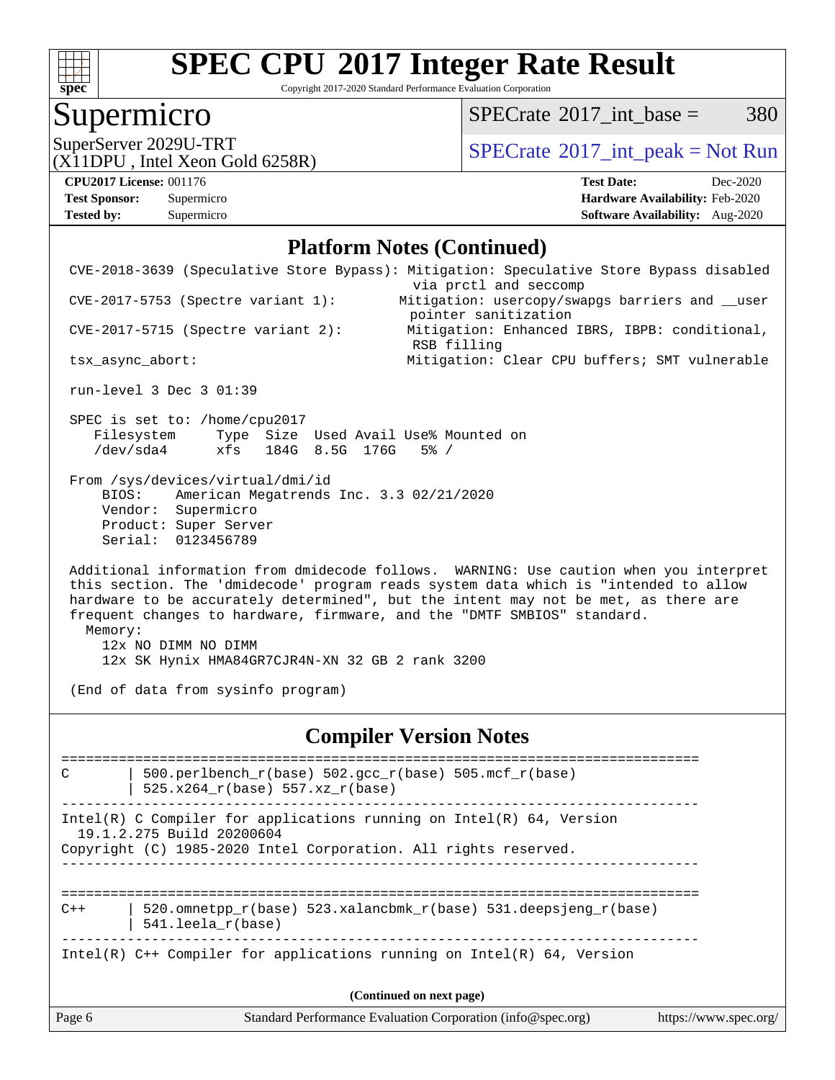

Copyright 2017-2020 Standard Performance Evaluation Corporation

# **Supermicro**

 $SPECTate@2017_int\_base = 380$ 

(X11DPU , Intel Xeon Gold 6258R)

SuperServer 2029U-TRT <br>(X11DPU Intel Xeon Gold 6258R) [SPECrate](http://www.spec.org/auto/cpu2017/Docs/result-fields.html#SPECrate2017intpeak)®[2017\\_int\\_peak = N](http://www.spec.org/auto/cpu2017/Docs/result-fields.html#SPECrate2017intpeak)ot Run

**[Tested by:](http://www.spec.org/auto/cpu2017/Docs/result-fields.html#Testedby)** Supermicro **[Software Availability:](http://www.spec.org/auto/cpu2017/Docs/result-fields.html#SoftwareAvailability)** Aug-2020

**[CPU2017 License:](http://www.spec.org/auto/cpu2017/Docs/result-fields.html#CPU2017License)** 001176 **[Test Date:](http://www.spec.org/auto/cpu2017/Docs/result-fields.html#TestDate)** Dec-2020 **[Test Sponsor:](http://www.spec.org/auto/cpu2017/Docs/result-fields.html#TestSponsor)** Supermicro **[Hardware Availability:](http://www.spec.org/auto/cpu2017/Docs/result-fields.html#HardwareAvailability)** Feb-2020

#### **[Platform Notes \(Continued\)](http://www.spec.org/auto/cpu2017/Docs/result-fields.html#PlatformNotes)**

| Page 6  |                                                                                                                                                                         | Standard Performance Evaluation Corporation (info@spec.org)                                                                                                                                                                                                                                                                                    | https://www.spec.org/ |
|---------|-------------------------------------------------------------------------------------------------------------------------------------------------------------------------|------------------------------------------------------------------------------------------------------------------------------------------------------------------------------------------------------------------------------------------------------------------------------------------------------------------------------------------------|-----------------------|
|         |                                                                                                                                                                         | (Continued on next page)                                                                                                                                                                                                                                                                                                                       |                       |
|         |                                                                                                                                                                         | Intel(R) $C++$ Compiler for applications running on Intel(R) 64, Version                                                                                                                                                                                                                                                                       |                       |
| $C++$   | 541.leela_r(base)                                                                                                                                                       | 520.omnetpp_r(base) 523.xalancbmk_r(base) 531.deepsjeng_r(base)                                                                                                                                                                                                                                                                                |                       |
|         | Intel(R) C Compiler for applications running on $Intel(R) 64$ , Version<br>19.1.2.275 Build 20200604<br>Copyright (C) 1985-2020 Intel Corporation. All rights reserved. |                                                                                                                                                                                                                                                                                                                                                |                       |
| C       | 500.perlbench_r(base) 502.gcc_r(base) 505.mcf_r(base)<br>525.x264_r(base) 557.xz_r(base)                                                                                | ==============================                                                                                                                                                                                                                                                                                                                 |                       |
|         |                                                                                                                                                                         | <b>Compiler Version Notes</b>                                                                                                                                                                                                                                                                                                                  |                       |
| Memory: | 12x NO DIMM NO DIMM<br>12x SK Hynix HMA84GR7CJR4N-XN 32 GB 2 rank 3200<br>(End of data from sysinfo program)                                                            | Additional information from dmidecode follows. WARNING: Use caution when you interpret<br>this section. The 'dmidecode' program reads system data which is "intended to allow<br>hardware to be accurately determined", but the intent may not be met, as there are<br>frequent changes to hardware, firmware, and the "DMTF SMBIOS" standard. |                       |
|         | From /sys/devices/virtual/dmi/id<br>American Megatrends Inc. 3.3 02/21/2020<br>BIOS:<br>Vendor: Supermicro<br>Product: Super Server<br>Serial: 0123456789               |                                                                                                                                                                                                                                                                                                                                                |                       |
|         | SPEC is set to: /home/cpu2017<br>Filesystem Type Size Used Avail Use% Mounted on<br>xfs 184G 8.5G 176G<br>/dev/sda4                                                     | $5\%$ /                                                                                                                                                                                                                                                                                                                                        |                       |
|         | run-level 3 Dec 3 01:39                                                                                                                                                 |                                                                                                                                                                                                                                                                                                                                                |                       |
|         | tsx_async_abort:                                                                                                                                                        | RSB filling<br>Mitigation: Clear CPU buffers; SMT vulnerable                                                                                                                                                                                                                                                                                   |                       |
|         | $CVE-2017-5715$ (Spectre variant 2):                                                                                                                                    | pointer sanitization<br>Mitigation: Enhanced IBRS, IBPB: conditional,                                                                                                                                                                                                                                                                          |                       |
|         | $CVE-2017-5753$ (Spectre variant 1):                                                                                                                                    | CVE-2018-3639 (Speculative Store Bypass): Mitigation: Speculative Store Bypass disabled<br>via prctl and seccomp<br>Mitigation: usercopy/swapgs barriers and __user                                                                                                                                                                            |                       |
|         |                                                                                                                                                                         |                                                                                                                                                                                                                                                                                                                                                |                       |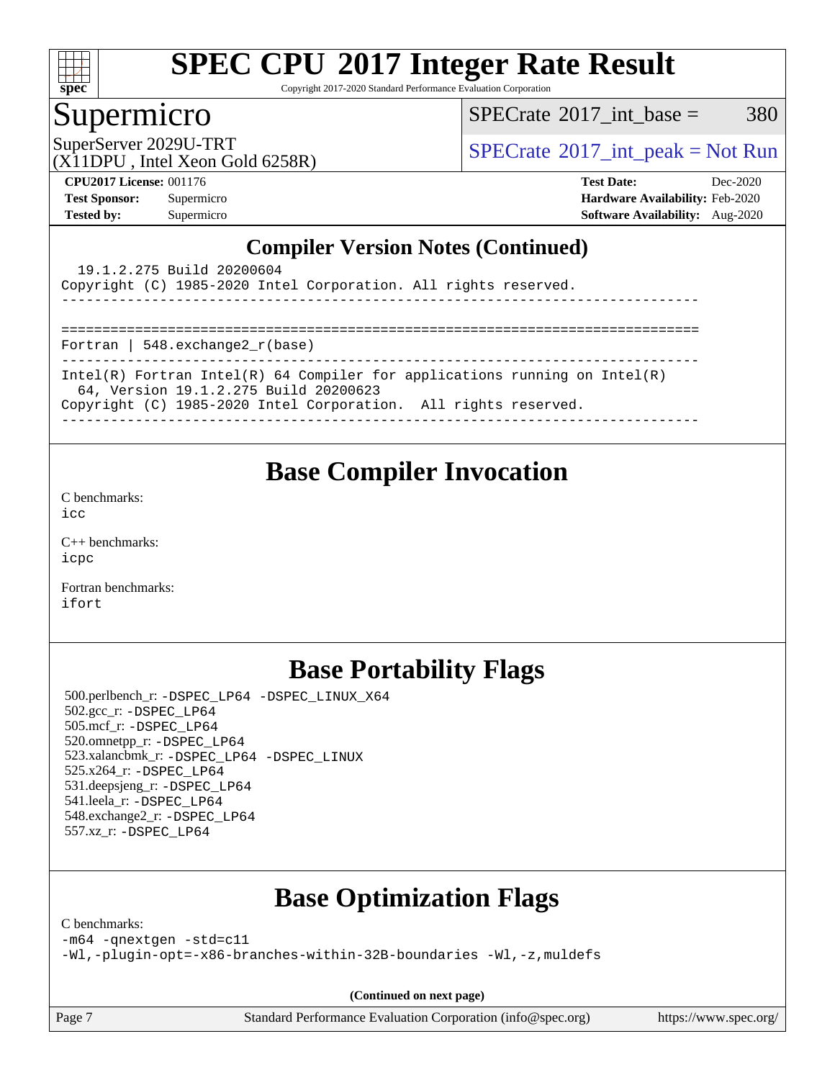

Copyright 2017-2020 Standard Performance Evaluation Corporation

### Supermicro

 $SPECTate@2017\_int\_base = 380$ 

(X11DPU , Intel Xeon Gold 6258R)

SuperServer 2029U-TRT <br>[SPECrate](http://www.spec.org/auto/cpu2017/Docs/result-fields.html#SPECrate2017intpeak)®[2017\\_int\\_peak = N](http://www.spec.org/auto/cpu2017/Docs/result-fields.html#SPECrate2017intpeak)ot Run  $SPECrate$ <sup>®</sup>2017\_int\_peak = Not Run

**[CPU2017 License:](http://www.spec.org/auto/cpu2017/Docs/result-fields.html#CPU2017License)** 001176 **[Test Date:](http://www.spec.org/auto/cpu2017/Docs/result-fields.html#TestDate)** Dec-2020 **[Test Sponsor:](http://www.spec.org/auto/cpu2017/Docs/result-fields.html#TestSponsor)** Supermicro **[Hardware Availability:](http://www.spec.org/auto/cpu2017/Docs/result-fields.html#HardwareAvailability)** Feb-2020 **[Tested by:](http://www.spec.org/auto/cpu2017/Docs/result-fields.html#Testedby)** Supermicro **[Software Availability:](http://www.spec.org/auto/cpu2017/Docs/result-fields.html#SoftwareAvailability)** Aug-2020

#### **[Compiler Version Notes \(Continued\)](http://www.spec.org/auto/cpu2017/Docs/result-fields.html#CompilerVersionNotes)**

| 19.1.2.275 Build 20200604                                                                                             |
|-----------------------------------------------------------------------------------------------------------------------|
| Copyright (C) 1985-2020 Intel Corporation. All rights reserved.                                                       |
|                                                                                                                       |
|                                                                                                                       |
| Fortran   548.exchange2 $r(base)$                                                                                     |
| Intel(R) Fortran Intel(R) 64 Compiler for applications running on $Intel(R)$<br>64, Version 19.1.2.275 Build 20200623 |
| Copyright (C) 1985-2020 Intel Corporation. All rights reserved.                                                       |
|                                                                                                                       |

### **[Base Compiler Invocation](http://www.spec.org/auto/cpu2017/Docs/result-fields.html#BaseCompilerInvocation)**

[C benchmarks](http://www.spec.org/auto/cpu2017/Docs/result-fields.html#Cbenchmarks):  $i$ cc

[C++ benchmarks:](http://www.spec.org/auto/cpu2017/Docs/result-fields.html#CXXbenchmarks) [icpc](http://www.spec.org/cpu2017/results/res2020q4/cpu2017-20201207-24562.flags.html#user_CXXbase_intel_icpc_c510b6838c7f56d33e37e94d029a35b4a7bccf4766a728ee175e80a419847e808290a9b78be685c44ab727ea267ec2f070ec5dc83b407c0218cded6866a35d07)

[Fortran benchmarks](http://www.spec.org/auto/cpu2017/Docs/result-fields.html#Fortranbenchmarks): [ifort](http://www.spec.org/cpu2017/results/res2020q4/cpu2017-20201207-24562.flags.html#user_FCbase_intel_ifort_8111460550e3ca792625aed983ce982f94888b8b503583aa7ba2b8303487b4d8a21a13e7191a45c5fd58ff318f48f9492884d4413fa793fd88dd292cad7027ca)

## **[Base Portability Flags](http://www.spec.org/auto/cpu2017/Docs/result-fields.html#BasePortabilityFlags)**

 500.perlbench\_r: [-DSPEC\\_LP64](http://www.spec.org/cpu2017/results/res2020q4/cpu2017-20201207-24562.flags.html#b500.perlbench_r_basePORTABILITY_DSPEC_LP64) [-DSPEC\\_LINUX\\_X64](http://www.spec.org/cpu2017/results/res2020q4/cpu2017-20201207-24562.flags.html#b500.perlbench_r_baseCPORTABILITY_DSPEC_LINUX_X64) 502.gcc\_r: [-DSPEC\\_LP64](http://www.spec.org/cpu2017/results/res2020q4/cpu2017-20201207-24562.flags.html#suite_basePORTABILITY502_gcc_r_DSPEC_LP64) 505.mcf\_r: [-DSPEC\\_LP64](http://www.spec.org/cpu2017/results/res2020q4/cpu2017-20201207-24562.flags.html#suite_basePORTABILITY505_mcf_r_DSPEC_LP64) 520.omnetpp\_r: [-DSPEC\\_LP64](http://www.spec.org/cpu2017/results/res2020q4/cpu2017-20201207-24562.flags.html#suite_basePORTABILITY520_omnetpp_r_DSPEC_LP64) 523.xalancbmk\_r: [-DSPEC\\_LP64](http://www.spec.org/cpu2017/results/res2020q4/cpu2017-20201207-24562.flags.html#suite_basePORTABILITY523_xalancbmk_r_DSPEC_LP64) [-DSPEC\\_LINUX](http://www.spec.org/cpu2017/results/res2020q4/cpu2017-20201207-24562.flags.html#b523.xalancbmk_r_baseCXXPORTABILITY_DSPEC_LINUX) 525.x264\_r: [-DSPEC\\_LP64](http://www.spec.org/cpu2017/results/res2020q4/cpu2017-20201207-24562.flags.html#suite_basePORTABILITY525_x264_r_DSPEC_LP64) 531.deepsjeng\_r: [-DSPEC\\_LP64](http://www.spec.org/cpu2017/results/res2020q4/cpu2017-20201207-24562.flags.html#suite_basePORTABILITY531_deepsjeng_r_DSPEC_LP64) 541.leela\_r: [-DSPEC\\_LP64](http://www.spec.org/cpu2017/results/res2020q4/cpu2017-20201207-24562.flags.html#suite_basePORTABILITY541_leela_r_DSPEC_LP64) 548.exchange2\_r: [-DSPEC\\_LP64](http://www.spec.org/cpu2017/results/res2020q4/cpu2017-20201207-24562.flags.html#suite_basePORTABILITY548_exchange2_r_DSPEC_LP64) 557.xz\_r: [-DSPEC\\_LP64](http://www.spec.org/cpu2017/results/res2020q4/cpu2017-20201207-24562.flags.html#suite_basePORTABILITY557_xz_r_DSPEC_LP64)

# **[Base Optimization Flags](http://www.spec.org/auto/cpu2017/Docs/result-fields.html#BaseOptimizationFlags)**

[C benchmarks](http://www.spec.org/auto/cpu2017/Docs/result-fields.html#Cbenchmarks):

[-m64](http://www.spec.org/cpu2017/results/res2020q4/cpu2017-20201207-24562.flags.html#user_CCbase_m64-icc) [-qnextgen](http://www.spec.org/cpu2017/results/res2020q4/cpu2017-20201207-24562.flags.html#user_CCbase_f-qnextgen) [-std=c11](http://www.spec.org/cpu2017/results/res2020q4/cpu2017-20201207-24562.flags.html#user_CCbase_std-icc-std_0e1c27790398a4642dfca32ffe6c27b5796f9c2d2676156f2e42c9c44eaad0c049b1cdb667a270c34d979996257aeb8fc440bfb01818dbc9357bd9d174cb8524)

[-Wl,-plugin-opt=-x86-branches-within-32B-boundaries](http://www.spec.org/cpu2017/results/res2020q4/cpu2017-20201207-24562.flags.html#user_CCbase_f-x86-branches-within-32B-boundaries_0098b4e4317ae60947b7b728078a624952a08ac37a3c797dfb4ffeb399e0c61a9dd0f2f44ce917e9361fb9076ccb15e7824594512dd315205382d84209e912f3) [-Wl,-z,muldefs](http://www.spec.org/cpu2017/results/res2020q4/cpu2017-20201207-24562.flags.html#user_CCbase_link_force_multiple1_b4cbdb97b34bdee9ceefcfe54f4c8ea74255f0b02a4b23e853cdb0e18eb4525ac79b5a88067c842dd0ee6996c24547a27a4b99331201badda8798ef8a743f577)

**(Continued on next page)**

Page 7 Standard Performance Evaluation Corporation [\(info@spec.org\)](mailto:info@spec.org) <https://www.spec.org/>